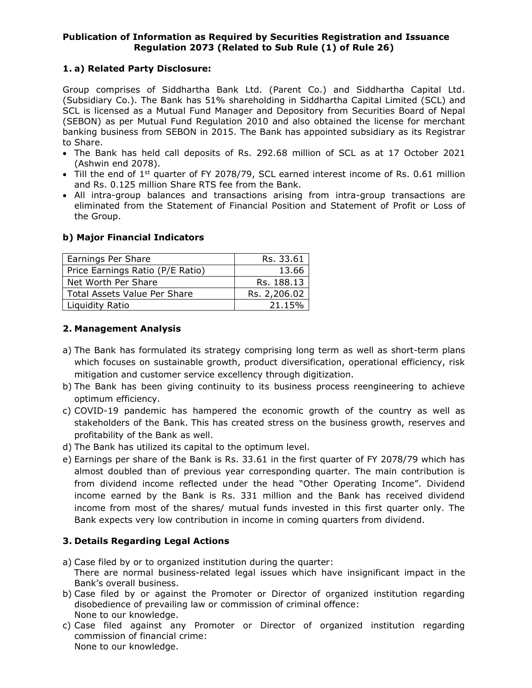## **Publication of Information as Required by Securities Registration and Issuance Regulation 2073 (Related to Sub Rule (1) of Rule 26)**

## **1. a) Related Party Disclosure:**

Group comprises of Siddhartha Bank Ltd. (Parent Co.) and Siddhartha Capital Ltd. (Subsidiary Co.). The Bank has 51% shareholding in Siddhartha Capital Limited (SCL) and SCL is licensed as a Mutual Fund Manager and Depository from Securities Board of Nepal (SEBON) as per Mutual Fund Regulation 2010 and also obtained the license for merchant banking business from SEBON in 2015. The Bank has appointed subsidiary as its Registrar to Share.

- The Bank has held call deposits of Rs. 292.68 million of SCL as at 17 October 2021 (Ashwin end 2078).
- $\bullet$  Till the end of 1<sup>st</sup> quarter of FY 2078/79, SCL earned interest income of Rs. 0.61 million and Rs. 0.125 million Share RTS fee from the Bank.
- All intra-group balances and transactions arising from intra-group transactions are eliminated from the Statement of Financial Position and Statement of Profit or Loss of the Group.

## **b) Major Financial Indicators**

| Earnings Per Share               | Rs. 33.61    |
|----------------------------------|--------------|
| Price Earnings Ratio (P/E Ratio) | 13.66        |
| Net Worth Per Share              | Rs. 188.13   |
| Total Assets Value Per Share     | Rs. 2,206.02 |
| Liquidity Ratio                  | 21.15%       |

#### **2. Management Analysis**

- a) The Bank has formulated its strategy comprising long term as well as short-term plans which focuses on sustainable growth, product diversification, operational efficiency, risk mitigation and customer service excellency through digitization.
- b) The Bank has been giving continuity to its business process reengineering to achieve optimum efficiency.
- c) COVID-19 pandemic has hampered the economic growth of the country as well as stakeholders of the Bank. This has created stress on the business growth, reserves and profitability of the Bank as well.
- d) The Bank has utilized its capital to the optimum level.
- e) Earnings per share of the Bank is Rs. 33.61 in the first quarter of FY 2078/79 which has almost doubled than of previous year corresponding quarter. The main contribution is from dividend income reflected under the head "Other Operating Income". Dividend income earned by the Bank is Rs. 331 million and the Bank has received dividend income from most of the shares/ mutual funds invested in this first quarter only. The Bank expects very low contribution in income in coming quarters from dividend.

## **3. Details Regarding Legal Actions**

- a) Case filed by or to organized institution during the quarter: There are normal business-related legal issues which have insignificant impact in the Bank's overall business.
- b) Case filed by or against the Promoter or Director of organized institution regarding disobedience of prevailing law or commission of criminal offence: None to our knowledge.
- c) Case filed against any Promoter or Director of organized institution regarding commission of financial crime: None to our knowledge.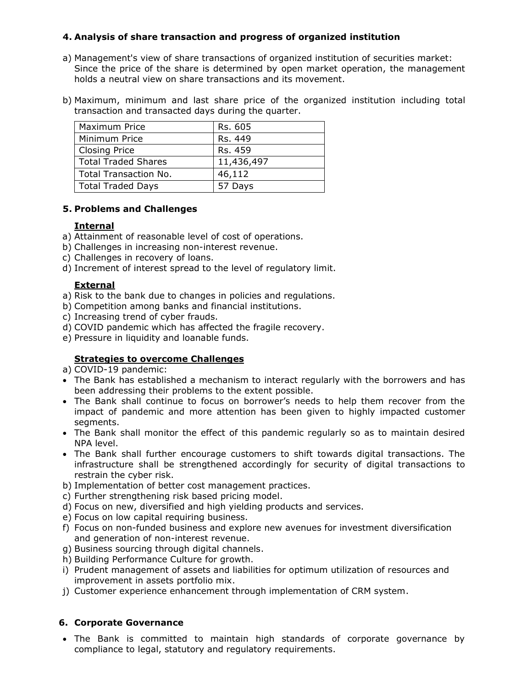# **4. Analysis of share transaction and progress of organized institution**

- a) Management's view of share transactions of organized institution of securities market: Since the price of the share is determined by open market operation, the management holds a neutral view on share transactions and its movement.
- b) Maximum, minimum and last share price of the organized institution including total transaction and transacted days during the quarter.

| Maximum Price                | Rs. 605    |
|------------------------------|------------|
| Minimum Price                | Rs. 449    |
| <b>Closing Price</b>         | Rs. 459    |
| <b>Total Traded Shares</b>   | 11,436,497 |
| <b>Total Transaction No.</b> | 46,112     |
| <b>Total Traded Days</b>     | 57 Days    |

## **5. Problems and Challenges**

#### **Internal**

- a) Attainment of reasonable level of cost of operations.
- b) Challenges in increasing non-interest revenue.
- c) Challenges in recovery of loans.
- d) Increment of interest spread to the level of regulatory limit.

## **External**

- a) Risk to the bank due to changes in policies and regulations.
- b) Competition among banks and financial institutions.
- c) Increasing trend of cyber frauds.
- d) COVID pandemic which has affected the fragile recovery.
- e) Pressure in liquidity and loanable funds.

## **Strategies to overcome Challenges**

a) COVID-19 pandemic:

- The Bank has established a mechanism to interact regularly with the borrowers and has been addressing their problems to the extent possible.
- The Bank shall continue to focus on borrower's needs to help them recover from the impact of pandemic and more attention has been given to highly impacted customer segments.
- The Bank shall monitor the effect of this pandemic regularly so as to maintain desired NPA level.
- The Bank shall further encourage customers to shift towards digital transactions. The infrastructure shall be strengthened accordingly for security of digital transactions to restrain the cyber risk.
- b) Implementation of better cost management practices.
- c) Further strengthening risk based pricing model.
- d) Focus on new, diversified and high yielding products and services.
- e) Focus on low capital requiring business.
- f) Focus on non-funded business and explore new avenues for investment diversification and generation of non-interest revenue.
- g) Business sourcing through digital channels.
- h) Building Performance Culture for growth.
- i) Prudent management of assets and liabilities for optimum utilization of resources and improvement in assets portfolio mix.
- j) Customer experience enhancement through implementation of CRM system.

## **6. Corporate Governance**

 The Bank is committed to maintain high standards of corporate governance by compliance to legal, statutory and regulatory requirements.